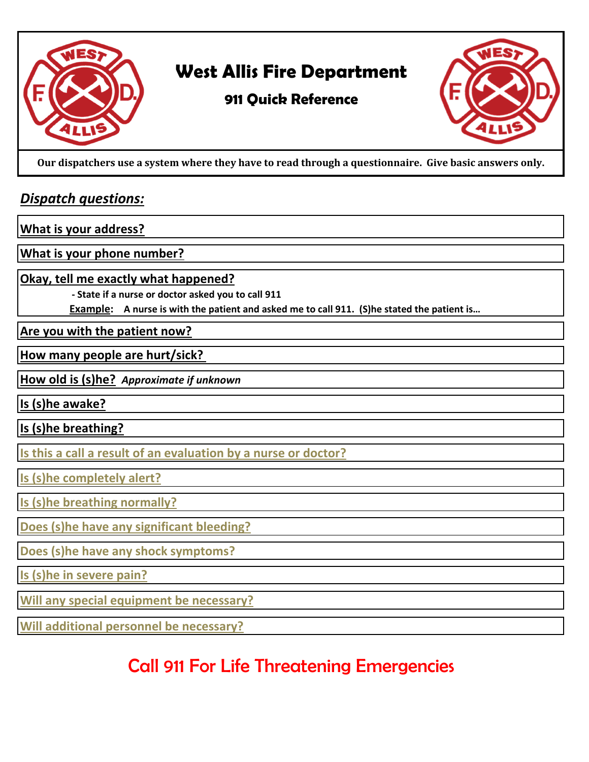

## **West Allis Fire Department**

### **911 Quick Reference**



**Our dispatchers use a system where they have to read through a questionnaire. Give basic answers only.** 

#### *Dispatch questions:*

**What is your address?**

**What is your phone number?**

**Okay, tell me exactly what happened?**

 **- State if a nurse or doctor asked you to call 911**

**Example: A nurse is with the patient and asked me to call 911. (S)he stated the patient is…**

**Are you with the patient now?**

**How many people are hurt/sick?** 

**How old is (s)he?** *Approximate if unknown* 

**Is (s)he awake?**

**Is (s)he breathing?**

**Is this a call a result of an evaluation by a nurse or doctor?**

**Is (s)he completely alert?**

**Is (s)he breathing normally?**

**Does (s)he have any significant bleeding?**

**Does (s)he have any shock symptoms?**

**Is (s)he in severe pain?**

**Will any special equipment be necessary?**

**Will additional personnel be necessary?**

# Call 911 For Life Threatening Emergencies